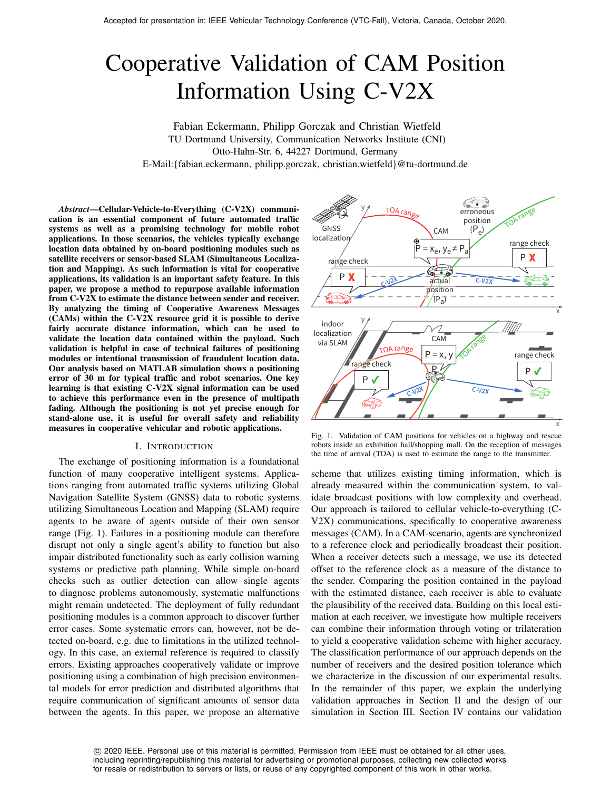# Cooperative Validation of CAM Position Information Using C-V2X

Fabian Eckermann, Philipp Gorczak and Christian Wietfeld TU Dortmund University, Communication Networks Institute (CNI) Otto-Hahn-Str. 6, 44227 Dortmund, Germany E-Mail:{fabian.eckermann, philipp.gorczak, christian.wietfeld}@tu-dortmund.de

*Abstract*—Cellular-Vehicle-to-Everything (C-V2X) communication is an essential component of future automated traffic systems as well as a promising technology for mobile robot applications. In those scenarios, the vehicles typically exchange location data obtained by on-board positioning modules such as satellite receivers or sensor-based SLAM (Simultaneous Localization and Mapping). As such information is vital for cooperative applications, its validation is an important safety feature. In this paper, we propose a method to repurpose available information from C-V2X to estimate the distance between sender and receiver. By analyzing the timing of Cooperative Awareness Messages (CAMs) within the C-V2X resource grid it is possible to derive fairly accurate distance information, which can be used to validate the location data contained within the payload. Such validation is helpful in case of technical failures of positioning modules or intentional transmission of fraudulent location data. Our analysis based on MATLAB simulation shows a positioning error of 30 m for typical traffic and robot scenarios. One key learning is that existing C-V2X signal information can be used to achieve this performance even in the presence of multipath fading. Although the positioning is not yet precise enough for stand-alone use, it is useful for overall safety and reliability measures in cooperative vehicular and robotic applications.

## I. INTRODUCTION

The exchange of positioning information is a foundational function of many cooperative intelligent systems. Applications ranging from automated traffic systems utilizing Global Navigation Satellite System (GNSS) data to robotic systems utilizing Simultaneous Location and Mapping (SLAM) require agents to be aware of agents outside of their own sensor range (Fig. 1). Failures in a positioning module can therefore disrupt not only a single agent's ability to function but also impair distributed functionality such as early collision warning systems or predictive path planning. While simple on-board checks such as outlier detection can allow single agents to diagnose problems autonomously, systematic malfunctions might remain undetected. The deployment of fully redundant positioning modules is a common approach to discover further error cases. Some systematic errors can, however, not be detected on-board, e.g. due to limitations in the utilized technology. In this case, an external reference is required to classify errors. Existing approaches cooperatively validate or improve positioning using a combination of high precision environmental models for error prediction and distributed algorithms that require communication of significant amounts of sensor data between the agents. In this paper, we propose an alternative



Fig. 1. Validation of CAM positions for vehicles on a highway and rescue robots inside an exhibition hall/shopping mall. On the reception of messages the time of arrival (TOA) is used to estimate the range to the transmitter.

scheme that utilizes existing timing information, which is already measured within the communication system, to validate broadcast positions with low complexity and overhead. Our approach is tailored to cellular vehicle-to-everything (C-V2X) communications, specifically to cooperative awareness messages (CAM). In a CAM-scenario, agents are synchronized to a reference clock and periodically broadcast their position. When a receiver detects such a message, we use its detected offset to the reference clock as a measure of the distance to the sender. Comparing the position contained in the payload with the estimated distance, each receiver is able to evaluate the plausibility of the received data. Building on this local estimation at each receiver, we investigate how multiple receivers can combine their information through voting or trilateration to yield a cooperative validation scheme with higher accuracy. The classification performance of our approach depends on the number of receivers and the desired position tolerance which we characterize in the discussion of our experimental results. In the remainder of this paper, we explain the underlying validation approaches in Section II and the design of our simulation in Section III. Section IV contains our validation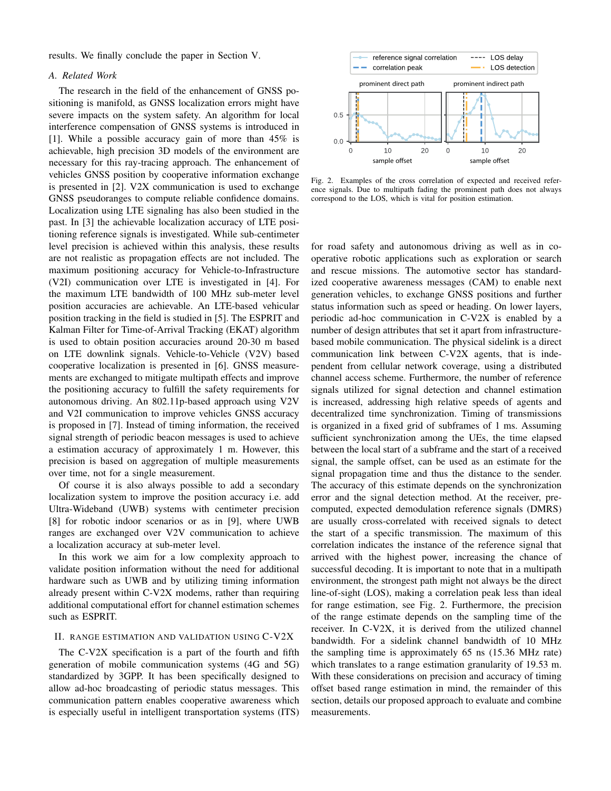results. We finally conclude the paper in Section V.

# *A. Related Work*

The research in the field of the enhancement of GNSS positioning is manifold, as GNSS localization errors might have severe impacts on the system safety. An algorithm for local interference compensation of GNSS systems is introduced in [1]. While a possible accuracy gain of more than 45% is achievable, high precision 3D models of the environment are necessary for this ray-tracing approach. The enhancement of vehicles GNSS position by cooperative information exchange is presented in [2]. V2X communication is used to exchange GNSS pseudoranges to compute reliable confidence domains. Localization using LTE signaling has also been studied in the past. In [3] the achievable localization accuracy of LTE positioning reference signals is investigated. While sub-centimeter level precision is achieved within this analysis, these results are not realistic as propagation effects are not included. The maximum positioning accuracy for Vehicle-to-Infrastructure (V2I) communication over LTE is investigated in [4]. For the maximum LTE bandwidth of 100 MHz sub-meter level position accuracies are achievable. An LTE-based vehicular position tracking in the field is studied in [5]. The ESPRIT and Kalman Filter for Time-of-Arrival Tracking (EKAT) algorithm is used to obtain position accuracies around 20-30 m based on LTE downlink signals. Vehicle-to-Vehicle (V2V) based cooperative localization is presented in [6]. GNSS measurements are exchanged to mitigate multipath effects and improve the positioning accuracy to fulfill the safety requirements for autonomous driving. An 802.11p-based approach using V2V and V2I communication to improve vehicles GNSS accuracy is proposed in [7]. Instead of timing information, the received signal strength of periodic beacon messages is used to achieve a estimation accuracy of approximately 1 m. However, this precision is based on aggregation of multiple measurements over time, not for a single measurement.

Of course it is also always possible to add a secondary localization system to improve the position accuracy i.e. add Ultra-Wideband (UWB) systems with centimeter precision [8] for robotic indoor scenarios or as in [9], where UWB ranges are exchanged over V2V communication to achieve a localization accuracy at sub-meter level.

In this work we aim for a low complexity approach to validate position information without the need for additional hardware such as UWB and by utilizing timing information already present within C-V2X modems, rather than requiring additional computational effort for channel estimation schemes such as ESPRIT.

# II. RANGE ESTIMATION AND VALIDATION USING C-V2X

The C-V2X specification is a part of the fourth and fifth generation of mobile communication systems (4G and 5G) standardized by 3GPP. It has been specifically designed to allow ad-hoc broadcasting of periodic status messages. This communication pattern enables cooperative awareness which is especially useful in intelligent transportation systems (ITS)



Fig. 2. Examples of the cross correlation of expected and received reference signals. Due to multipath fading the prominent path does not always correspond to the LOS, which is vital for position estimation.

for road safety and autonomous driving as well as in cooperative robotic applications such as exploration or search and rescue missions. The automotive sector has standardized cooperative awareness messages (CAM) to enable next generation vehicles, to exchange GNSS positions and further status information such as speed or heading. On lower layers, periodic ad-hoc communication in C-V2X is enabled by a number of design attributes that set it apart from infrastructurebased mobile communication. The physical sidelink is a direct communication link between C-V2X agents, that is independent from cellular network coverage, using a distributed channel access scheme. Furthermore, the number of reference signals utilized for signal detection and channel estimation is increased, addressing high relative speeds of agents and decentralized time synchronization. Timing of transmissions is organized in a fixed grid of subframes of 1 ms. Assuming sufficient synchronization among the UEs, the time elapsed between the local start of a subframe and the start of a received signal, the sample offset, can be used as an estimate for the signal propagation time and thus the distance to the sender. The accuracy of this estimate depends on the synchronization error and the signal detection method. At the receiver, precomputed, expected demodulation reference signals (DMRS) are usually cross-correlated with received signals to detect the start of a specific transmission. The maximum of this correlation indicates the instance of the reference signal that arrived with the highest power, increasing the chance of successful decoding. It is important to note that in a multipath environment, the strongest path might not always be the direct line-of-sight (LOS), making a correlation peak less than ideal for range estimation, see Fig. 2. Furthermore, the precision of the range estimate depends on the sampling time of the receiver. In C-V2X, it is derived from the utilized channel bandwidth. For a sidelink channel bandwidth of 10 MHz the sampling time is approximately 65 ns (15.36 MHz rate) which translates to a range estimation granularity of 19.53 m. With these considerations on precision and accuracy of timing offset based range estimation in mind, the remainder of this section, details our proposed approach to evaluate and combine measurements.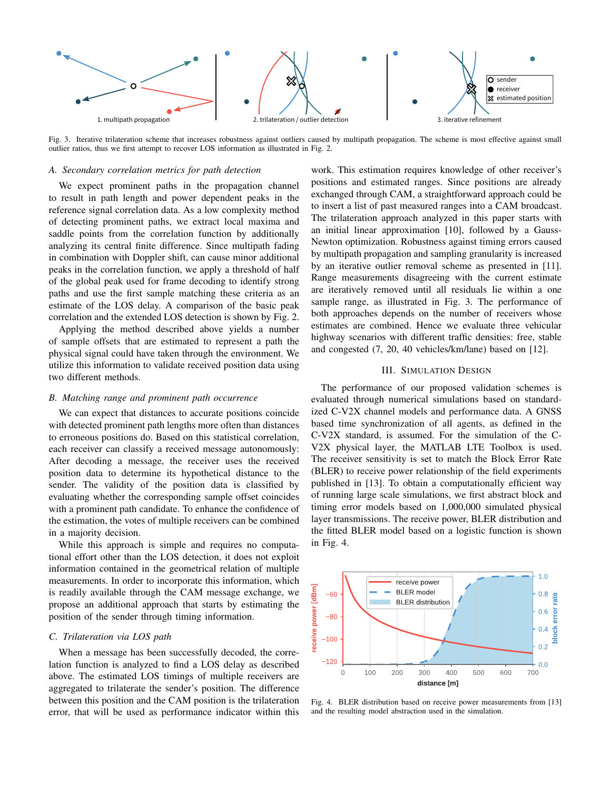

Fig. 3. Iterative trilateration scheme that increases robustness against outliers caused by multipath propagation. The scheme is most effective against small outlier ratios, thus we first attempt to recover LOS information as illustrated in Fig. 2.

#### *A. Secondary correlation metrics for path detection*

We expect prominent paths in the propagation channel to result in path length and power dependent peaks in the reference signal correlation data. As a low complexity method of detecting prominent paths, we extract local maxima and saddle points from the correlation function by additionally analyzing its central finite difference. Since multipath fading in combination with Doppler shift, can cause minor additional peaks in the correlation function, we apply a threshold of half of the global peak used for frame decoding to identify strong paths and use the first sample matching these criteria as an estimate of the LOS delay. A comparison of the basic peak correlation and the extended LOS detection is shown by Fig. 2.

Applying the method described above yields a number of sample offsets that are estimated to represent a path the physical signal could have taken through the environment. We utilize this information to validate received position data using two different methods.

#### *B. Matching range and prominent path occurrence*

We can expect that distances to accurate positions coincide with detected prominent path lengths more often than distances to erroneous positions do. Based on this statistical correlation, each receiver can classify a received message autonomously: After decoding a message, the receiver uses the received position data to determine its hypothetical distance to the sender. The validity of the position data is classified by evaluating whether the corresponding sample offset coincides with a prominent path candidate. To enhance the confidence of the estimation, the votes of multiple receivers can be combined in a majority decision.

While this approach is simple and requires no computational effort other than the LOS detection, it does not exploit information contained in the geometrical relation of multiple measurements. In order to incorporate this information, which is readily available through the CAM message exchange, we propose an additional approach that starts by estimating the position of the sender through timing information.

# *C. Trilateration via LOS path*

When a message has been successfully decoded, the correlation function is analyzed to find a LOS delay as described above. The estimated LOS timings of multiple receivers are aggregated to trilaterate the sender's position. The difference between this position and the CAM position is the trilateration error, that will be used as performance indicator within this

work. This estimation requires knowledge of other receiver's positions and estimated ranges. Since positions are already exchanged through CAM, a straightforward approach could be to insert a list of past measured ranges into a CAM broadcast. The trilateration approach analyzed in this paper starts with an initial linear approximation [10], followed by a Gauss-Newton optimization. Robustness against timing errors caused by multipath propagation and sampling granularity is increased by an iterative outlier removal scheme as presented in [11]. Range measurements disagreeing with the current estimate are iteratively removed until all residuals lie within a one sample range, as illustrated in Fig. 3. The performance of both approaches depends on the number of receivers whose estimates are combined. Hence we evaluate three vehicular highway scenarios with different traffic densities: free, stable and congested (7, 20, 40 vehicles/km/lane) based on [12].

#### III. SIMULATION DESIGN

The performance of our proposed validation schemes is evaluated through numerical simulations based on standardized C-V2X channel models and performance data. A GNSS based time synchronization of all agents, as defined in the C-V2X standard, is assumed. For the simulation of the C-V2X physical layer, the MATLAB LTE Toolbox is used. The receiver sensitivity is set to match the Block Error Rate (BLER) to receive power relationship of the field experiments published in [13]. To obtain a computationally efficient way of running large scale simulations, we first abstract block and timing error models based on 1,000,000 simulated physical layer transmissions. The receive power, BLER distribution and the fitted BLER model based on a logistic function is shown in Fig. 4.



Fig. 4. BLER distribution based on receive power measurements from [13] and the resulting model abstraction used in the simulation.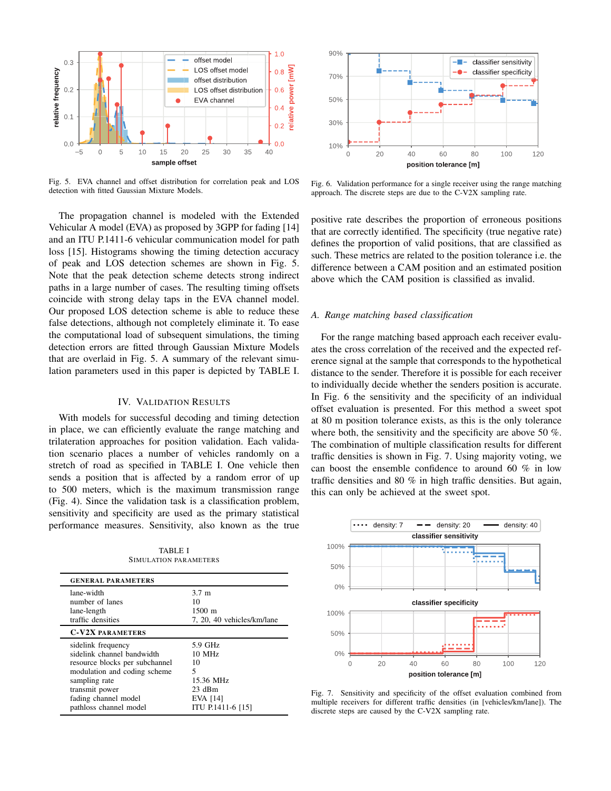

Fig. 5. EVA channel and offset distribution for correlation peak and LOS detection with fitted Gaussian Mixture Models.

The propagation channel is modeled with the Extended Vehicular A model (EVA) as proposed by 3GPP for fading [14] and an ITU P.1411-6 vehicular communication model for path loss [15]. Histograms showing the timing detection accuracy of peak and LOS detection schemes are shown in Fig. 5. Note that the peak detection scheme detects strong indirect paths in a large number of cases. The resulting timing offsets coincide with strong delay taps in the EVA channel model. Our proposed LOS detection scheme is able to reduce these false detections, although not completely eliminate it. To ease the computational load of subsequent simulations, the timing detection errors are fitted through Gaussian Mixture Models that are overlaid in Fig. 5. A summary of the relevant simulation parameters used in this paper is depicted by TABLE I.

# IV. VALIDATION RESULTS

With models for successful decoding and timing detection in place, we can efficiently evaluate the range matching and trilateration approaches for position validation. Each validation scenario places a number of vehicles randomly on a stretch of road as specified in TABLE I. One vehicle then sends a position that is affected by a random error of up to 500 meters, which is the maximum transmission range (Fig. 4). Since the validation task is a classification problem, sensitivity and specificity are used as the primary statistical performance measures. Sensitivity, also known as the true

TABLE I SIMULATION PARAMETERS

| <b>GENERAL PARAMETERS</b>                                                                                                                                                                               |                                                                                          |
|---------------------------------------------------------------------------------------------------------------------------------------------------------------------------------------------------------|------------------------------------------------------------------------------------------|
| lane-width<br>number of lanes<br>lane-length<br>traffic densities                                                                                                                                       | $3.7 \text{ m}$<br>10<br>$1500 \; \mathrm{m}$<br>7, 20, 40 vehicles/km/lane              |
| <b>C-V2X PARAMETERS</b>                                                                                                                                                                                 |                                                                                          |
| sidelink frequency<br>sidelink channel bandwidth<br>resource blocks per subchannel<br>modulation and coding scheme<br>sampling rate<br>transmit power<br>fading channel model<br>pathloss channel model | 5.9 GHz<br>$10$ MHz<br>10<br>5<br>15.36 MHz<br>$23$ dBm<br>EVA [14]<br>ITU P.1411-6 [15] |



Fig. 6. Validation performance for a single receiver using the range matching approach. The discrete steps are due to the C-V2X sampling rate.

positive rate describes the proportion of erroneous positions that are correctly identified. The specificity (true negative rate) defines the proportion of valid positions, that are classified as such. These metrics are related to the position tolerance i.e. the difference between a CAM position and an estimated position above which the CAM position is classified as invalid.

#### *A. Range matching based classification*

For the range matching based approach each receiver evaluates the cross correlation of the received and the expected reference signal at the sample that corresponds to the hypothetical distance to the sender. Therefore it is possible for each receiver to individually decide whether the senders position is accurate. In Fig. 6 the sensitivity and the specificity of an individual offset evaluation is presented. For this method a sweet spot at 80 m position tolerance exists, as this is the only tolerance where both, the sensitivity and the specificity are above 50 %. The combination of multiple classification results for different traffic densities is shown in Fig. 7. Using majority voting, we can boost the ensemble confidence to around 60 % in low traffic densities and 80 % in high traffic densities. But again, this can only be achieved at the sweet spot.



Fig. 7. Sensitivity and specificity of the offset evaluation combined from multiple receivers for different traffic densities (in [vehicles/km/lane]). The discrete steps are caused by the C-V2X sampling rate.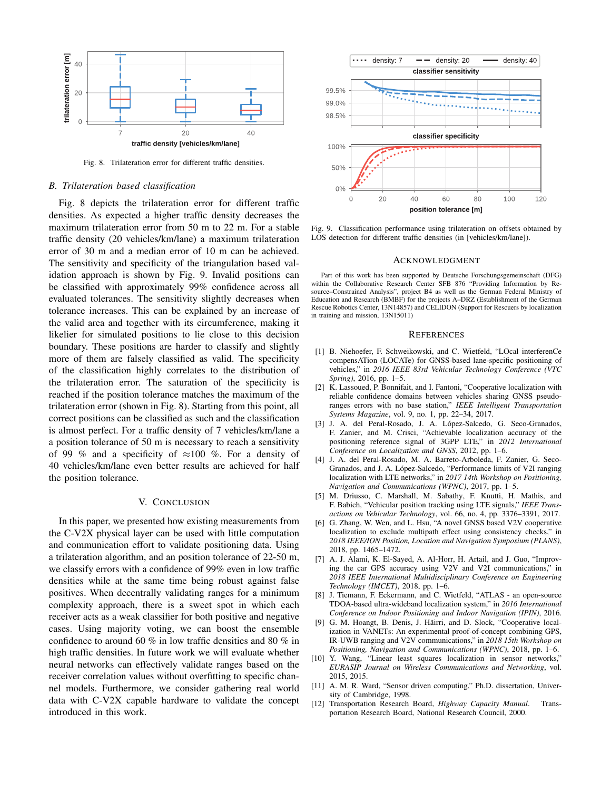

Fig. 8. Trilateration error for different traffic densities.

#### *B. Trilateration based classification*

Fig. 8 depicts the trilateration error for different traffic densities. As expected a higher traffic density decreases the maximum trilateration error from 50 m to 22 m. For a stable traffic density (20 vehicles/km/lane) a maximum trilateration error of 30 m and a median error of 10 m can be achieved. The sensitivity and specificity of the triangulation based validation approach is shown by Fig. 9. Invalid positions can be classified with approximately 99% confidence across all evaluated tolerances. The sensitivity slightly decreases when tolerance increases. This can be explained by an increase of the valid area and together with its circumference, making it likelier for simulated positions to lie close to this decision boundary. These positions are harder to classify and slightly more of them are falsely classified as valid. The specificity of the classification highly correlates to the distribution of the trilateration error. The saturation of the specificity is reached if the position tolerance matches the maximum of the trilateration error (shown in Fig. 8). Starting from this point, all correct positions can be classified as such and the classification is almost perfect. For a traffic density of 7 vehicles/km/lane a a position tolerance of 50 m is necessary to reach a sensitivity of 99 % and a specificity of  $\approx$ 100 %. For a density of 40 vehicles/km/lane even better results are achieved for half the position tolerance.

### V. CONCLUSION

In this paper, we presented how existing measurements from the C-V2X physical layer can be used with little computation and communication effort to validate positioning data. Using a trilateration algorithm, and an position tolerance of 22-50 m, we classify errors with a confidence of 99% even in low traffic densities while at the same time being robust against false positives. When decentrally validating ranges for a minimum complexity approach, there is a sweet spot in which each receiver acts as a weak classifier for both positive and negative cases. Using majority voting, we can boost the ensemble confidence to around 60 % in low traffic densities and 80 % in high traffic densities. In future work we will evaluate whether neural networks can effectively validate ranges based on the receiver correlation values without overfitting to specific channel models. Furthermore, we consider gathering real world data with C-V2X capable hardware to validate the concept introduced in this work.



Fig. 9. Classification performance using trilateration on offsets obtained by LOS detection for different traffic densities (in [vehicles/km/lane]).

#### ACKNOWLEDGMENT

Part of this work has been supported by Deutsche Forschungsgemeinschaft (DFG) within the Collaborative Research Center SFB 876 "Providing Information by Resource–Constrained Analysis", project B4 as well as the German Federal Ministry of Education and Research (BMBF) for the projects A–DRZ (Establishment of the German Rescue Robotics Center, 13N14857) and CELIDON (Support for Rescuers by localization in training and mission, 13N15011)

#### **REFERENCES**

- [1] B. Niehoefer, F. Schweikowski, and C. Wietfeld, "LOcal interferenCe compensATion (LOCATe) for GNSS-based lane-specific positioning of vehicles," in *2016 IEEE 83rd Vehicular Technology Conference (VTC Spring)*, 2016, pp. 1–5.
- [2] K. Lassoued, P. Bonnifait, and I. Fantoni, "Cooperative localization with reliable confidence domains between vehicles sharing GNSS pseudoranges errors with no base station," *IEEE Intelligent Transportation Systems Magazine*, vol. 9, no. 1, pp. 22–34, 2017.
- [3] J. A. del Peral-Rosado, J. A. López-Salcedo, G. Seco-Granados, F. Zanier, and M. Crisci, "Achievable localization accuracy of the positioning reference signal of 3GPP LTE," in *2012 International Conference on Localization and GNSS*, 2012, pp. 1–6.
- [4] J. A. del Peral-Rosado, M. A. Barreto-Arboleda, F. Zanier, G. Seco-Granados, and J. A. López-Salcedo, "Performance limits of V2I ranging localization with LTE networks," in *2017 14th Workshop on Positioning, Navigation and Communications (WPNC)*, 2017, pp. 1–5.
- [5] M. Driusso, C. Marshall, M. Sabathy, F. Knutti, H. Mathis, and F. Babich, "Vehicular position tracking using LTE signals," *IEEE Transactions on Vehicular Technology*, vol. 66, no. 4, pp. 3376–3391, 2017.
- [6] G. Zhang, W. Wen, and L. Hsu, "A novel GNSS based V2V cooperative localization to exclude multipath effect using consistency checks," in *2018 IEEE/ION Position, Location and Navigation Symposium (PLANS)*, 2018, pp. 1465–1472.
- [7] A. J. Alami, K. El-Sayed, A. Al-Horr, H. Artail, and J. Guo, "Improving the car GPS accuracy using V2V and V2I communications," in *2018 IEEE International Multidisciplinary Conference on Engineering Technology (IMCET)*, 2018, pp. 1–6.
- [8] J. Tiemann, F. Eckermann, and C. Wietfeld, "ATLAS an open-source TDOA-based ultra-wideband localization system," in *2016 International Conference on Indoor Positioning and Indoor Navigation (IPIN)*, 2016.
- [9] G. M. Hoangt, B. Denis, J. Häirri, and D. Slock, "Cooperative localization in VANETs: An experimental proof-of-concept combining GPS, IR-UWB ranging and V2V communications," in *2018 15th Workshop on Positioning, Navigation and Communications (WPNC)*, 2018, pp. 1–6.
- [10] Y. Wang, "Linear least squares localization in sensor networks," *EURASIP Journal on Wireless Communications and Networking*, vol. 2015, 2015.
- [11] A. M. R. Ward, "Sensor driven computing," Ph.D. dissertation, University of Cambridge, 1998.
- [12] Transportation Research Board, *Highway Capacity Manual*. Transportation Research Board, National Research Council, 2000.